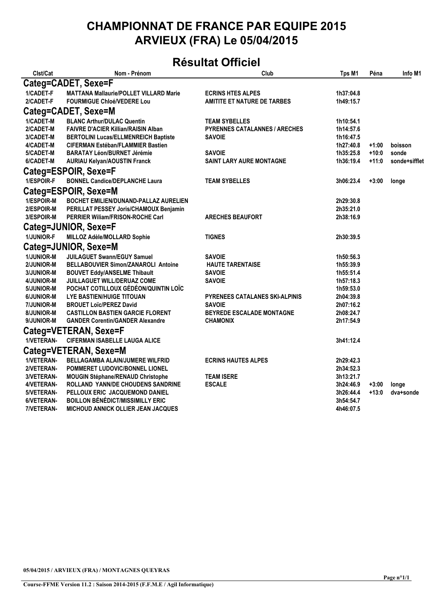#### **CHAMPIONNAT DE FRANCE PAR EQUIPE 2015 ARVIEUX (FRA) Le 05/04/2015**

### **Résultat Officiel**

| Clst/Cat          | Nom - Prénom                                  | Club                                 | Tps M1    | Péna    | Info M1       |
|-------------------|-----------------------------------------------|--------------------------------------|-----------|---------|---------------|
|                   | Categ=CADET, Sexe=F                           |                                      |           |         |               |
| 1/CADET-F         | <b>MATTANA Mallaurie/POLLET VILLARD Marie</b> | <b>ECRINS HTES ALPES</b>             | 1h37:04.8 |         |               |
| 2/CADET-F         | <b>FOURMIGUE Chloé/VEDERE Lou</b>             | <b>AMITITE ET NATURE DE TARBES</b>   | 1h49:15.7 |         |               |
|                   | Categ=CADET, Sexe=M                           |                                      |           |         |               |
| 1/CADET-M         | <b>BLANC Arthur/DULAC Quentin</b>             | <b>TEAM SYBELLES</b>                 | 1h10:54.1 |         |               |
| 2/CADET-M         | <b>FAIVRE D'ACIER Killian/RAISIN Alban</b>    | <b>PYRENNES CATALANNES / ARECHES</b> | 1h14:57.6 |         |               |
| 3/CADET-M         | <b>BERTOLINI Lucas/ELLMENREICH Baptiste</b>   | <b>SAVOIE</b>                        | 1h16:47.5 |         |               |
| 4/CADET-M         | <b>CIFERMAN Estéban/FLAMMIER Bastien</b>      |                                      | 1h27:40.8 | $+1:00$ | boisson       |
| 5/CADET-M         | <b>BARATAY Léon/BURNET Jérémie</b>            | <b>SAVOIE</b>                        | 1h35:25.8 | $+10:0$ | sonde         |
| 6/CADET-M         | <b>AURIAU Kelyan/AOUSTIN Franck</b>           | <b>SAINT LARY AURE MONTAGNE</b>      | 1h36:19.4 | $+11:0$ | sonde+sifflet |
|                   | Categ=ESPOIR, Sexe=F                          |                                      |           |         |               |
| 1/ESPOIR-F        | <b>BONNEL Candice/DEPLANCHE Laura</b>         | <b>TEAM SYBELLES</b>                 | 3h06:23.4 | $+3:00$ | longe         |
|                   | Categ=ESPOIR, Sexe=M                          |                                      |           |         |               |
| 1/ESPOIR-M        | BOCHET EMILIEN/DUNAND-PALLAZ AURELIEN         |                                      | 2h29:30.8 |         |               |
| <b>2/ESPOIR-M</b> | PERILLAT PESSEY Joris/CHAMOUX Benjamin        |                                      | 2h35:21.0 |         |               |
| 3/ESPOIR-M        | <b>PERRIER Willam/FRISON-ROCHE Carl</b>       | <b>ARECHES BEAUFORT</b>              | 2h38:16.9 |         |               |
|                   | Categ=JUNIOR, Sexe=F                          |                                      |           |         |               |
| 1/JUNIOR-F        | MILLOZ Adèle/MOLLARD Sophie                   | <b>TIGNES</b>                        | 2h30:39.5 |         |               |
|                   | Categ=JUNIOR, Sexe=M                          |                                      |           |         |               |
| 1/JUNIOR-M        | <b>JUILAGUET Swann/EGUY Samuel</b>            | <b>SAVOIE</b>                        | 1h50:56.3 |         |               |
| <b>2/JUNIOR-M</b> | <b>BELLABOUVIER Simon/ZANAROLI Antoine</b>    | <b>HAUTE TARENTAISE</b>              | 1h55:39.9 |         |               |
| <b>3/JUNIOR-M</b> | <b>BOUVET Eddy/ANSELME Thibault</b>           | <b>SAVOIE</b>                        | 1h55:51.4 |         |               |
| 4/JUNIOR-M        | JUILLAGUET WILL/DERUAZ COME                   | <b>SAVOIE</b>                        | 1h57:18.3 |         |               |
| 5/JUNIOR-M        | POCHAT COTILLOUX GÉDÉON/QUINTIN LOÏC          |                                      | 1h59:53.0 |         |               |
| 6/JUNIOR-M        | LYE BASTIEN/HUIGE TITOUAN                     | PYRENEES CATALANES SKI-ALPINIS       | 2h04:39.8 |         |               |
| <b>7/JUNIOR-M</b> | <b>BROUET Loïc/PEREZ David</b>                | <b>SAVOIE</b>                        | 2h07:16.2 |         |               |
| 8/JUNIOR-M        | <b>CASTILLON BASTIEN GARCIE FLORENT</b>       | BEYREDE ESCALADE MONTAGNE            | 2h08:24.7 |         |               |
| 9/JUNIOR-M        | <b>GANDER Corentin/GANDER Alexandre</b>       | <b>CHAMONIX</b>                      | 2h17:54.9 |         |               |
|                   | Categ=VETERAN, Sexe=F                         |                                      |           |         |               |
| 1/VETERAN-        | <b>CIFERMAN ISABELLE LAUGA ALICE</b>          |                                      | 3h41:12.4 |         |               |
|                   | Categ=VETERAN, Sexe=M                         |                                      |           |         |               |
| <b>1/VETERAN-</b> | BELLAGAMBA ALAIN/JUMERE WILFRID               | <b>ECRINS HAUTES ALPES</b>           | 2h29:42.3 |         |               |
| 2/VETERAN-        | POMMERET LUDOVIC/BONNEL LIONEL                |                                      | 2h34:52.3 |         |               |
| 3/VETERAN-        | <b>MOUGIN Stéphane/RENAUD Christophe</b>      | <b>TEAM ISERE</b>                    | 3h13:21.7 |         |               |
| 4/VETERAN-        | ROLLAND YANN/DE CHOUDENS SANDRINE             | <b>ESCALE</b>                        | 3h24:46.9 | $+3:00$ | longe         |
| 5/VETERAN-        | PELLOUX ERIC JACQUEMOND DANIEL                |                                      | 3h26:44.4 | $+13:0$ | dva+sonde     |
| 6/VETERAN-        | <b>BOILLON BÉNÉDICT/MISSIMILLY ERIC</b>       |                                      | 3h54:54.7 |         |               |
| 7/VETERAN-        | MICHOUD ANNICK OLLIER JEAN JACQUES            |                                      | 4h46:07.5 |         |               |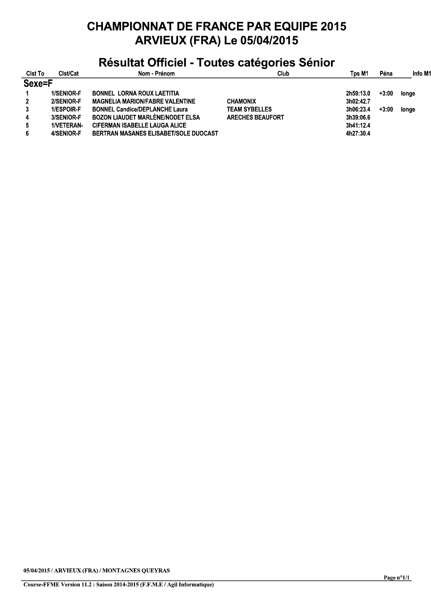## **CHAMPIONNAT DE FRANCE PAR EQUIPE 2015 ARVIEUX (FRA) Le 05/04/2015**

## Résultat Officiel - Toutes catégories Sénior

| <b>CIst To</b> | Clst/Cat   | Nom Prénom                              | Club                    | Tps M1    | Péna    | Info M1 |
|----------------|------------|-----------------------------------------|-------------------------|-----------|---------|---------|
| Sexe=F         |            |                                         |                         |           |         |         |
| 1              | 1/SENIOR-F | <b>BONNEL LORNA ROUX LAETITIA</b>       |                         | 2h59:13.0 | $+3:00$ | longe   |
| $\overline{2}$ | 2/SENIOR-F | <b>MAGNELIA MARION/FABRE VALENTINE</b>  | <b>CHAMONIX</b>         | 3h02:42.7 |         |         |
| 3              | 1/ESPOIR-F | <b>BONNEL Candice/DEPLANCHE Laura</b>   | <b>TEAM SYBELLES</b>    | 3h06:23.4 | $+3:00$ | longe   |
| 4              | 3/SENIOR-F | <b>BOZON LIAUDET MARLENE/NODET ELSA</b> | <b>ARECHES BEAUFORT</b> | 3h39:06.6 |         |         |
| 5.             | 1/VETERAN- | <b>CIFERMAN ISABELLE LAUGA ALICE</b>    |                         | 3h41:12.4 |         |         |
| 6              | 4/SENIOR-F | BERTRAN MASANES ELISABET/SOLE DUOCAST   |                         | 4h27:30.4 |         |         |

05/04/2015 / ARVIEUX (FRA) / MONTAGNES QUEYRAS